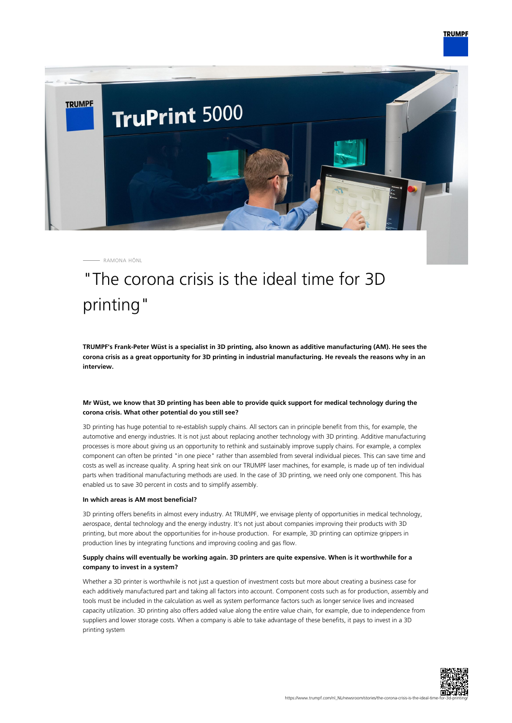

RAMONA HÖNL

# "The corona crisis is the ideal time for 3D printing"

**TRUMPF's Frank-Peter Wüst is a specialist in 3D printing, also known as additive manufacturing (AM). He sees the corona crisis as a great opportunity for 3D printing in industrial manufacturing. He reveals the reasons why in an interview.**

# **Mr Wüst, we know that 3D printing has been able to provide quick support for medical technology during the corona crisis. What other potential do you still see?**

3D printing has huge potential to re-establish supply chains. All sectors can in principle benefit from this, for example, the automotive and energy industries. It is not just about replacing another technology with 3D printing. Additive manufacturing processes is more about giving us an opportunity to rethink and sustainably improve supply chains. For example, a complex component can often be printed "in one piece" rather than assembled from several individual pieces. This can save time and costs as well as increase quality. A spring heat sink on our TRUMPF laser machines, for example, is made up of ten individual parts when traditional manufacturing methods are used. In the case of 3D printing, we need only one component. This has enabled us to save 30 percent in costs and to simplify assembly.

#### **In which areas is AM most beneficial?**

3D printing offers benefits in almost every industry. At TRUMPF, we envisage plenty of opportunities in medical technology, aerospace, dental technology and the energy industry. It's not just about companies improving their products with 3D printing, but more about the opportunities for in-house production. For example, 3D printing can optimize grippers in production lines by integrating functions and improving cooling and gas flow.

# **Supply chains will eventually be working again. 3D printers are quite expensive. When is it worthwhile for a company to invest in a system?**

Whether a 3D printer is worthwhile is not just a question of investment costs but more about creating a business case for each additively manufactured part and taking all factors into account. Component costs such as for production, assembly and tools must be included in the calculation as well as system performance factors such as longer service lives and increased capacity utilization. 3D printing also offers added value along the entire value chain, for example, due to independence from suppliers and lower storage costs. When a company is able to take advantage of these benefits, it pays to invest in a 3D printing system